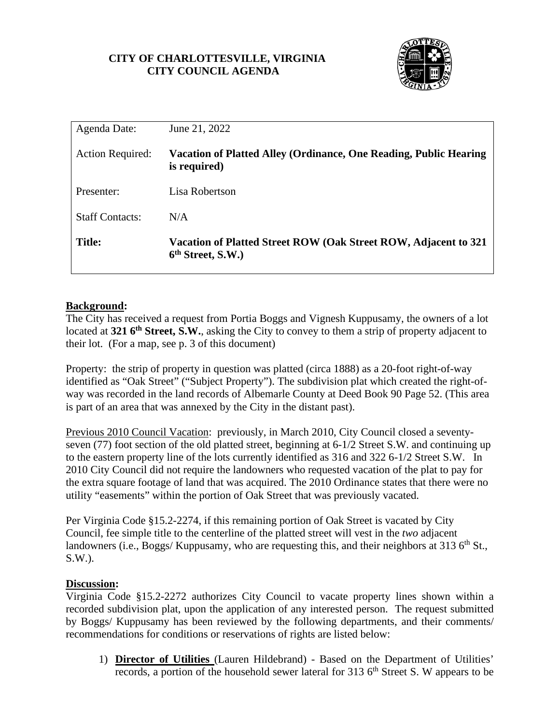# **CITY OF CHARLOTTESVILLE, VIRGINIA CITY COUNCIL AGENDA**



| Agenda Date:            | June 21, 2022                                                                                    |
|-------------------------|--------------------------------------------------------------------------------------------------|
| <b>Action Required:</b> | Vacation of Platted Alley (Ordinance, One Reading, Public Hearing<br>is required)                |
| Presenter:              | Lisa Robertson                                                                                   |
| <b>Staff Contacts:</b>  | N/A                                                                                              |
| <b>Title:</b>           | Vacation of Platted Street ROW (Oak Street ROW, Adjacent to 321<br>6 <sup>th</sup> Street, S.W.) |

# **Background:**

The City has received a request from Portia Boggs and Vignesh Kuppusamy, the owners of a lot located at **321 6<sup>th</sup> Street, S.W.**, asking the City to convey to them a strip of property adjacent to their lot. (For a map, see p. 3 of this document)

Property: the strip of property in question was platted (circa 1888) as a 20-foot right-of-way identified as "Oak Street" ("Subject Property"). The subdivision plat which created the right-ofway was recorded in the land records of Albemarle County at Deed Book 90 Page 52. (This area is part of an area that was annexed by the City in the distant past).

Previous 2010 Council Vacation: previously, in March 2010, City Council closed a seventyseven (77) foot section of the old platted street, beginning at 6-1/2 Street S.W. and continuing up to the eastern property line of the lots currently identified as 316 and 322 6-1/2 Street S.W. In 2010 City Council did not require the landowners who requested vacation of the plat to pay for the extra square footage of land that was acquired. The 2010 Ordinance states that there were no utility "easements" within the portion of Oak Street that was previously vacated.

Per Virginia Code §15.2-2274, if this remaining portion of Oak Street is vacated by City Council, fee simple title to the centerline of the platted street will vest in the *two* adjacent landowners (i.e., Boggs/ Kuppusamy, who are requesting this, and their neighbors at 313  $6<sup>th</sup>$  St., S.W.).

#### **Discussion:**

Virginia Code §15.2-2272 authorizes City Council to vacate property lines shown within a recorded subdivision plat, upon the application of any interested person. The request submitted by Boggs/ Kuppusamy has been reviewed by the following departments, and their comments/ recommendations for conditions or reservations of rights are listed below:

1) **Director of Utilities** (Lauren Hildebrand) - Based on the Department of Utilities' records, a portion of the household sewer lateral for 313  $6<sup>th</sup>$  Street S. W appears to be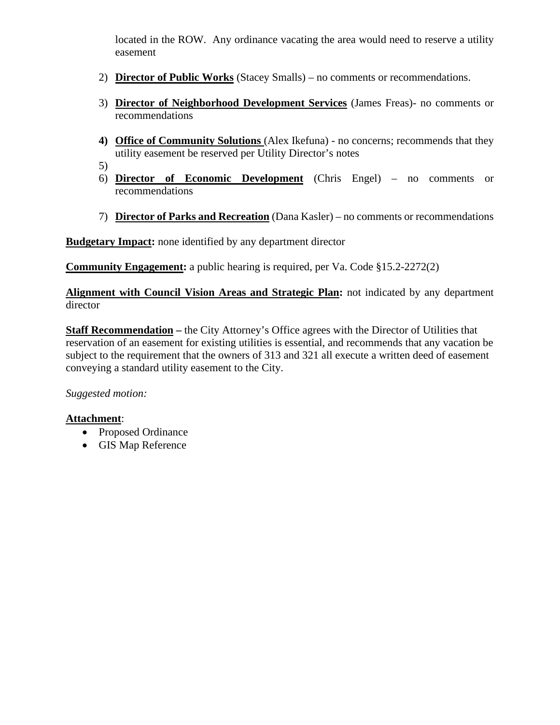located in the ROW. Any ordinance vacating the area would need to reserve a utility easement

- 2) **Director of Public Works** (Stacey Smalls) no comments or recommendations.
- 3) **Director of Neighborhood Development Services** (James Freas)- no comments or recommendations
- **4) Office of Community Solutions** (Alex Ikefuna) no concerns; recommends that they utility easement be reserved per Utility Director's notes
- 5)
- 6) **Director of Economic Development** (Chris Engel) no comments or recommendations
- 7) **Director of Parks and Recreation** (Dana Kasler) no comments or recommendations

**Budgetary Impact:** none identified by any department director

**Community Engagement:** a public hearing is required, per Va. Code §15.2-2272(2)

**Alignment with Council Vision Areas and Strategic Plan:** not indicated by any department director

**Staff Recommendation –** the City Attorney's Office agrees with the Director of Utilities that reservation of an easement for existing utilities is essential, and recommends that any vacation be subject to the requirement that the owners of 313 and 321 all execute a written deed of easement conveying a standard utility easement to the City.

*Suggested motion:* 

# **Attachment**:

- Proposed Ordinance
- GIS Map Reference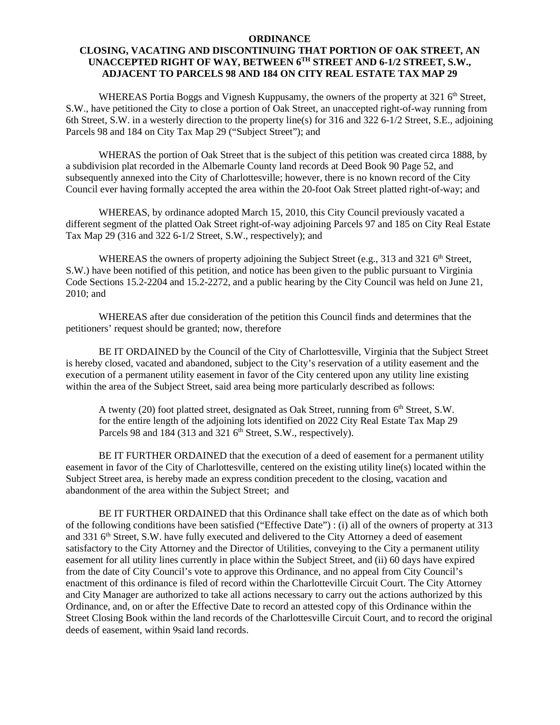#### **ORDINANCE**

#### **CLOSING, VACATING AND DISCONTINUING THAT PORTION OF OAK STREET, AN UNACCEPTED RIGHT OF WAY, BETWEEN 6TH STREET AND 6-1/2 STREET, S.W., ADJACENT TO PARCELS 98 AND 184 ON CITY REAL ESTATE TAX MAP 29**

WHEREAS Portia Boggs and Vignesh Kuppusamy, the owners of the property at 321  $6<sup>th</sup>$  Street, S.W., have petitioned the City to close a portion of Oak Street, an unaccepted right-of-way running from 6th Street, S.W. in a westerly direction to the property line(s) for 316 and 322 6-1/2 Street, S.E., adjoining Parcels 98 and 184 on City Tax Map 29 ("Subject Street"); and

WHERAS the portion of Oak Street that is the subject of this petition was created circa 1888, by a subdivision plat recorded in the Albemarle County land records at Deed Book 90 Page 52, and subsequently annexed into the City of Charlottesville; however, there is no known record of the City Council ever having formally accepted the area within the 20-foot Oak Street platted right-of-way; and

WHEREAS, by ordinance adopted March 15, 2010, this City Council previously vacated a different segment of the platted Oak Street right-of-way adjoining Parcels 97 and 185 on City Real Estate Tax Map 29 (316 and 322 6-1/2 Street, S.W., respectively); and

WHEREAS the owners of property adjoining the Subject Street (e.g., 313 and 321 6<sup>th</sup> Street, S.W.) have been notified of this petition, and notice has been given to the public pursuant to Virginia Code Sections 15.2-2204 and 15.2-2272, and a public hearing by the City Council was held on June 21, 2010; and

WHEREAS after due consideration of the petition this Council finds and determines that the petitioners' request should be granted; now, therefore

BE IT ORDAINED by the Council of the City of Charlottesville, Virginia that the Subject Street is hereby closed, vacated and abandoned, subject to the City's reservation of a utility easement and the execution of a permanent utility easement in favor of the City centered upon any utility line existing within the area of the Subject Street, said area being more particularly described as follows:

A twenty (20) foot platted street, designated as Oak Street, running from  $6<sup>th</sup>$  Street, S.W. for the entire length of the adjoining lots identified on 2022 City Real Estate Tax Map 29 Parcels 98 and 184 (313 and 321 6<sup>th</sup> Street, S.W., respectively).

BE IT FURTHER ORDAINED that the execution of a deed of easement for a permanent utility easement in favor of the City of Charlottesville, centered on the existing utility line(s) located within the Subject Street area, is hereby made an express condition precedent to the closing, vacation and abandonment of the area within the Subject Street; and

BE IT FURTHER ORDAINED that this Ordinance shall take effect on the date as of which both of the following conditions have been satisfied ("Effective Date") : (i) all of the owners of property at 313 and 331 6<sup>th</sup> Street, S.W. have fully executed and delivered to the City Attorney a deed of easement satisfactory to the City Attorney and the Director of Utilities, conveying to the City a permanent utility easement for all utility lines currently in place within the Subject Street, and (ii) 60 days have expired from the date of City Council's vote to approve this Ordinance, and no appeal from City Council's enactment of this ordinance is filed of record within the Charlotteville Circuit Court. The City Attorney and City Manager are authorized to take all actions necessary to carry out the actions authorized by this Ordinance, and, on or after the Effective Date to record an attested copy of this Ordinance within the Street Closing Book within the land records of the Charlottesville Circuit Court, and to record the original deeds of easement, within 9said land records.